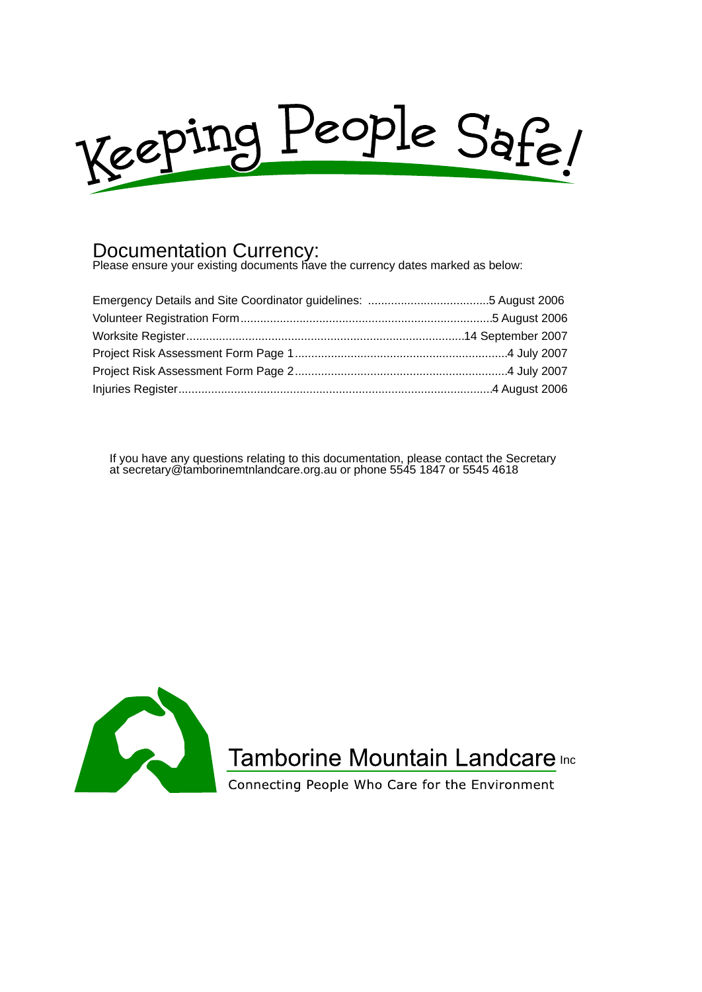

### Documentation Currency:

Please ensure your existing documents have the currency dates marked as below:

If you have any questions relating to this documentation, please contact the Secretary at secretary@tamborinemtnlandcare.org.au or phone 5545 1847 or 5545 4618



### Tamborine Mountain Landcare Inc

Connecting People Who Care for the Environment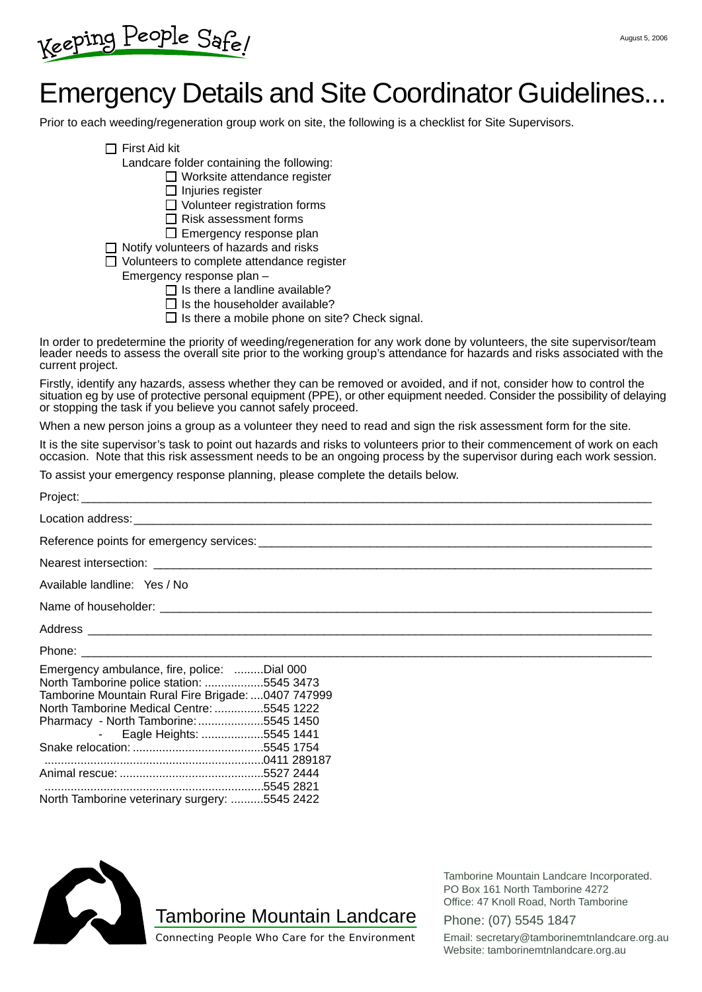Keeping People Safe!

### Emergency Details and Site Coordinator Guidelines...

Prior to each weeding/regeneration group work on site, the following is a checklist for Site Supervisors.

 $\Pi$  First Aid kit

Landcare folder containing the following:

□ Worksite attendance register

 $\Box$  Injuries register

□ Volunteer registration forms

 $\Box$  Risk assessment forms

□ Emergency response plan

 $\Box$  Notify volunteers of hazards and risks

□ Volunteers to complete attendance register

Emergency response plan –

- $\Box$  Is there a landline available?
- $\Box$  Is the householder available?
- $\Box$  Is there a mobile phone on site? Check signal.

In order to predetermine the priority of weeding/regeneration for any work done by volunteers, the site supervisor/team leader needs to assess the overall site prior to the working group's attendance for hazards and risks associated with the current project.

Firstly, identify any hazards, assess whether they can be removed or avoided, and if not, consider how to control the situation eg by use of protective personal equipment (PPE), or other equipment needed. Consider the possibility of delaying or stopping the task if you believe you cannot safely proceed.

When a new person joins a group as a volunteer they need to read and sign the risk assessment form for the site.

It is the site supervisor's task to point out hazards and risks to volunteers prior to their commencement of work on each occasion. Note that this risk assessment needs to be an ongoing process by the supervisor during each work session.

To assist your emergency response planning, please complete the details below.

| Available landline: Yes / No                                                                                                                                                                                                                                                                                        |
|---------------------------------------------------------------------------------------------------------------------------------------------------------------------------------------------------------------------------------------------------------------------------------------------------------------------|
|                                                                                                                                                                                                                                                                                                                     |
|                                                                                                                                                                                                                                                                                                                     |
|                                                                                                                                                                                                                                                                                                                     |
| Emergency ambulance, fire, police: Dial 000<br>North Tamborine police station: 5545 3473<br>Tamborine Mountain Rural Fire Brigade: 0407 747999<br>North Tamborine Medical Centre: 5545 1222<br>Pharmacy - North Tamborine: 5545 1450<br>- Eagle Heights: 5545 1441<br>North Tamborine veterinary surgery: 5545 2422 |



Tamborine Mountain Landcare

Tamborine Mountain Landcare Incorporated. PO Box 161 North Tamborine 4272 Office: 47 Knoll Road, North Tamborine

Phone: (07) 5545 1847

Connecting People Who Care for the Environment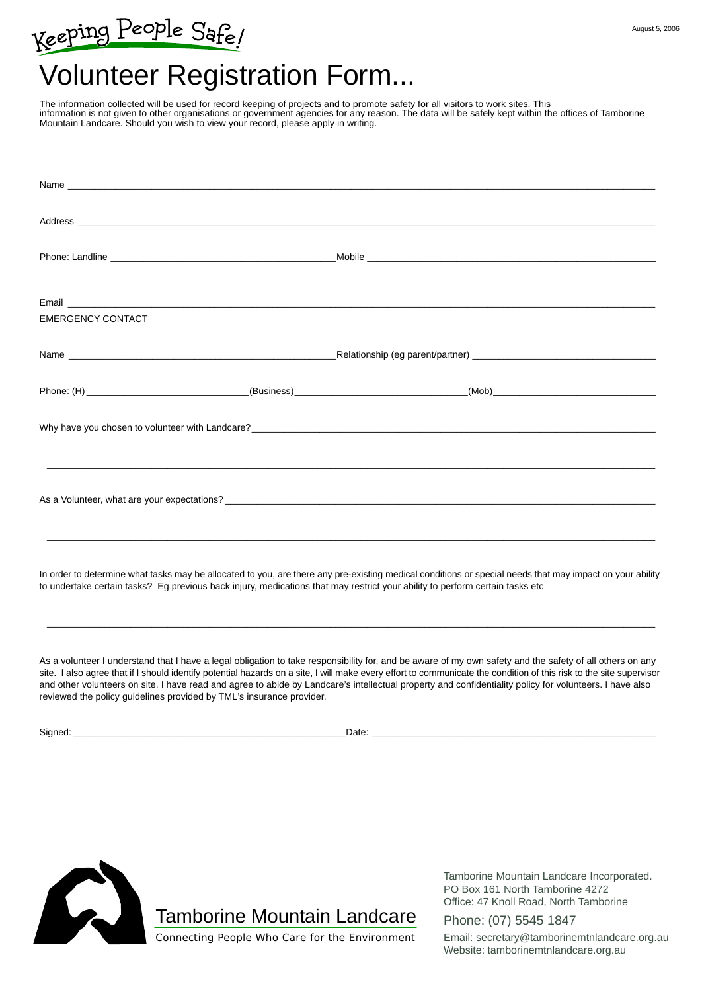# Keeping People Safe!

## Volunteer Registration Form...

The information collected will be used for record keeping of projects and to promote safety for all visitors to work sites. This information is not given to other organisations or government agencies for any reason. The data will be safely kept within the offices of Tamborine Mountain Landcare. Should you wish to view your record, please apply in writing.

| <b>EMERGENCY CONTACT</b>                                                                                                                                 |  |  |
|----------------------------------------------------------------------------------------------------------------------------------------------------------|--|--|
|                                                                                                                                                          |  |  |
|                                                                                                                                                          |  |  |
|                                                                                                                                                          |  |  |
| ,我们也不能会在这里,我们的人们就会在这里,我们也不能会在这里,我们也不能会在这里,我们也不能会在这里,我们也不能会在这里,我们也不能会不能会不能会。""我们,我                                                                        |  |  |
|                                                                                                                                                          |  |  |
| In order to determine what tasks may be allocated to you, are there any pre-existing medical conditions or special needs that may impact on your ability |  |  |

In order to determine what tasks may be allocated to you, are there any pre-existing medical conditions or special needs that may impact on your ability to undertake certain tasks? Eg previous back injury, medications that may restrict your ability to perform certain tasks etc

\_\_\_\_\_\_\_\_\_\_\_\_\_\_\_\_\_\_\_\_\_\_\_\_\_\_\_\_\_\_\_\_\_\_\_\_\_\_\_\_\_\_\_\_\_\_\_\_\_\_\_\_\_\_\_\_\_\_\_\_\_\_\_\_\_\_\_\_\_\_\_\_\_\_\_\_\_\_\_\_\_\_\_\_\_\_\_\_\_\_\_\_\_\_\_\_\_\_\_\_\_\_\_\_\_\_\_\_\_\_\_\_\_\_\_\_

As a volunteer I understand that I have a legal obligation to take responsibility for, and be aware of my own safety and the safety of all others on any site. I also agree that if I should identify potential hazards on a site, I will make every effort to communicate the condition of this risk to the site supervisor and other volunteers on site. I have read and agree to abide by Landcare's intellectual property and confidentiality policy for volunteers. I have also reviewed the policy guidelines provided by TML's insurance provider.

Signed: \_\_\_\_\_\_\_\_\_\_\_\_\_\_\_\_\_\_\_\_\_\_\_\_\_\_\_\_\_\_\_\_\_\_\_\_\_\_\_\_\_\_\_\_\_\_\_\_\_\_\_\_Date: \_\_\_\_\_\_\_\_\_\_\_\_\_\_\_\_\_\_\_\_\_\_\_\_\_\_\_\_\_\_\_\_\_\_\_\_\_\_\_\_\_\_\_\_\_\_\_\_\_\_\_\_\_\_



Tamborine Mountain Landcare Incorporated. PO Box 161 North Tamborine 4272 Office: 47 Knoll Road, North Tamborine

Phone: (07) 5545 1847

Connecting People Who Care for the Environment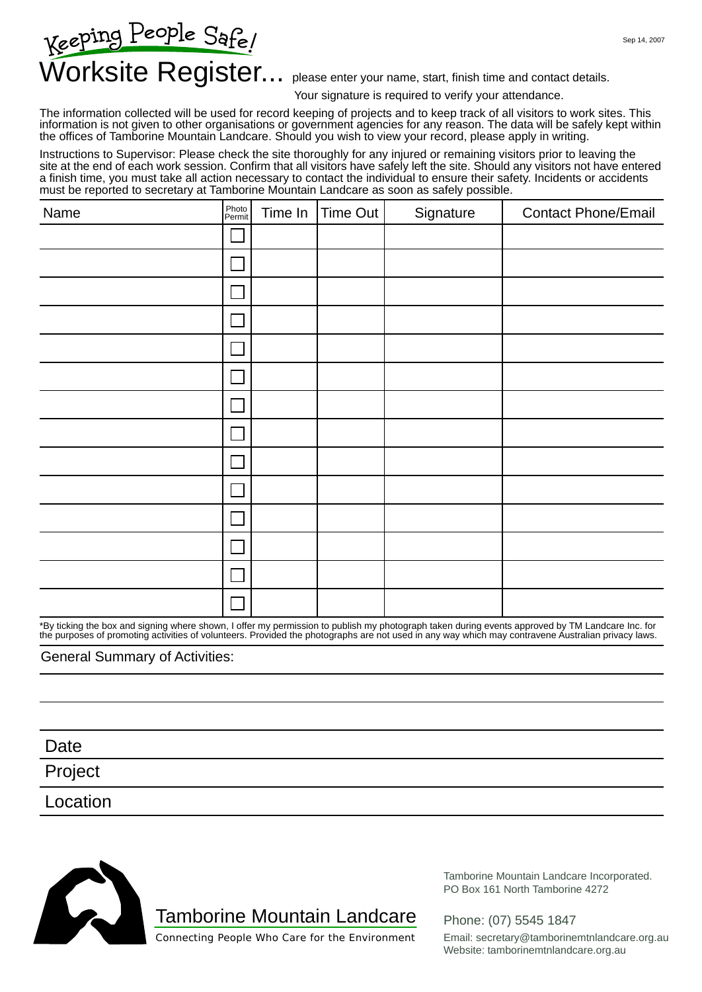Sep 14, 2007

# Keeping People Safe/<br>Worksite Register... please enter your name, start, finish time and contact details.

Your signature is required to verify your attendance.

The information collected will be used for record keeping of projects and to keep track of all visitors to work sites. This information is not given to other organisations or government agencies for any reason. The data will be safely kept within the offices of Tamborine Mountain Landcare. Should you wish to view your record, please apply in writing.

Instructions to Supervisor: Please check the site thoroughly for any injured or remaining visitors prior to leaving the site at the end of each work session. Confirm that all visitors have safely left the site. Should any visitors not have entered a finish time, you must take all action necessary to contact the individual to ensure their safety. Incidents or accidents must be reported to secretary at Tamborine Mountain Landcare as soon as safely possible.

| Name | Photo<br>Permit | Time In | Time Out | Signature | <b>Contact Phone/Email</b> |
|------|-----------------|---------|----------|-----------|----------------------------|
|      | <b>I</b>        |         |          |           |                            |
|      | Γ               |         |          |           |                            |
|      | I.              |         |          |           |                            |
|      | I.              |         |          |           |                            |
|      | $\Box$          |         |          |           |                            |
|      | $\Box$          |         |          |           |                            |
|      | $\Box$          |         |          |           |                            |
|      | $\sim$          |         |          |           |                            |
|      | $\Box$          |         |          |           |                            |
|      | $\Box$          |         |          |           |                            |
|      | L               |         |          |           |                            |
|      | $\Box$          |         |          |           |                            |
|      | $\sim$          |         |          |           |                            |
|      |                 |         |          |           |                            |

\*By ticking the box and signing where shown, I offer my permission to publish my photograph taken during events approved by TM Landcare Inc. for the purposes of promoting activities of volunteers. Provided the photographs are not used in any way which may contravene Australian privacy laws.

#### General Summary of Activities:

Project Date Location



Tamborine Mountain Landcare

Tamborine Mountain Landcare Incorporated. PO Box 161 North Tamborine 4272

Phone: (07) 5545 1847

Connecting People Who Care for the Environment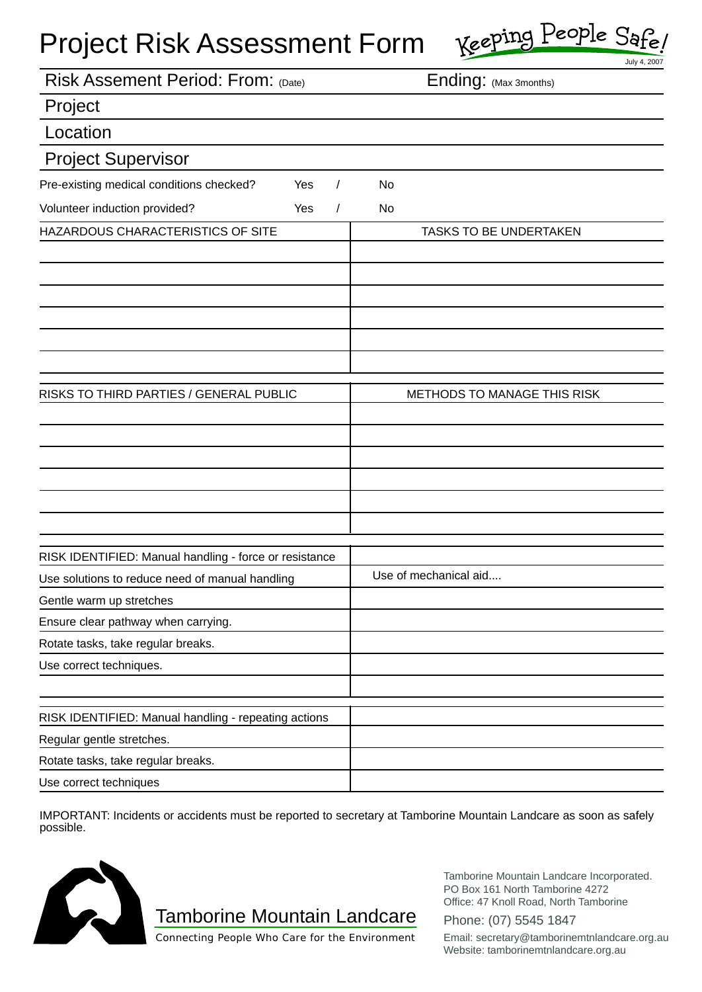### Project Risk Assessment Form

| Keeping People Safe |
|---------------------|
|---------------------|

|                                                        | July 4, 2007                  |
|--------------------------------------------------------|-------------------------------|
| Risk Assement Period: From: (Date)                     | Ending: (Max 3months)         |
| Project                                                |                               |
| Location                                               |                               |
| <b>Project Supervisor</b>                              |                               |
| Pre-existing medical conditions checked?<br>Yes        | No                            |
| Volunteer induction provided?<br>Yes<br>$\prime$       | No                            |
| HAZARDOUS CHARACTERISTICS OF SITE                      | <b>TASKS TO BE UNDERTAKEN</b> |
|                                                        |                               |
|                                                        |                               |
|                                                        |                               |
|                                                        |                               |
|                                                        |                               |
|                                                        |                               |
| RISKS TO THIRD PARTIES / GENERAL PUBLIC                | METHODS TO MANAGE THIS RISK   |
|                                                        |                               |
|                                                        |                               |
|                                                        |                               |
|                                                        |                               |
|                                                        |                               |
|                                                        |                               |
| RISK IDENTIFIED: Manual handling - force or resistance |                               |
| Use solutions to reduce need of manual handling        | Use of mechanical aid         |
| Gentle warm up stretches                               |                               |
| Ensure clear pathway when carrying.                    |                               |
| Rotate tasks, take regular breaks.                     |                               |
| Use correct techniques.                                |                               |
|                                                        |                               |
| RISK IDENTIFIED: Manual handling - repeating actions   |                               |
| Regular gentle stretches.                              |                               |
| Rotate tasks, take regular breaks.                     |                               |
| Use correct techniques                                 |                               |

IMPORTANT: Incidents or accidents must be reported to secretary at Tamborine Mountain Landcare as soon as safely possible.



Tamborine Mountain Landcare

Tamborine Mountain Landcare Incorporated. PO Box 161 North Tamborine 4272 Office: 47 Knoll Road, North Tamborine

Phone: (07) 5545 1847

Connecting People Who Care for the Environment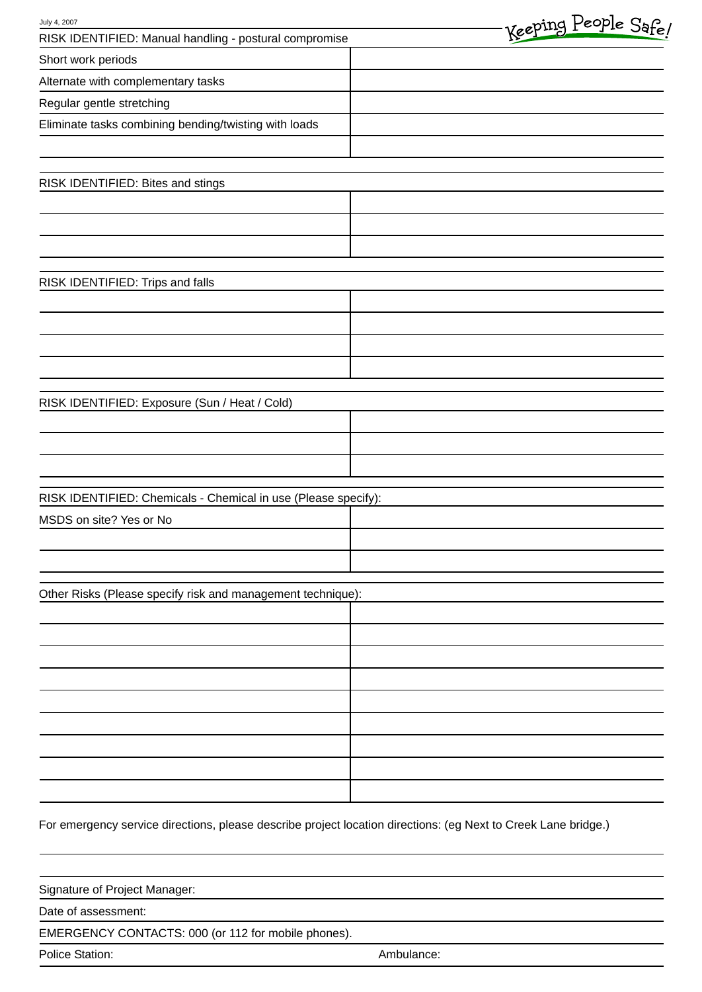| July 4, 2007                                                   | Keeping People Safe! |
|----------------------------------------------------------------|----------------------|
| RISK IDENTIFIED: Manual handling - postural compromise         |                      |
| Short work periods                                             |                      |
| Alternate with complementary tasks                             |                      |
| Regular gentle stretching                                      |                      |
| Eliminate tasks combining bending/twisting with loads          |                      |
|                                                                |                      |
| RISK IDENTIFIED: Bites and stings                              |                      |
|                                                                |                      |
|                                                                |                      |
|                                                                |                      |
| RISK IDENTIFIED: Trips and falls                               |                      |
|                                                                |                      |
|                                                                |                      |
|                                                                |                      |
|                                                                |                      |
| RISK IDENTIFIED: Exposure (Sun / Heat / Cold)                  |                      |
|                                                                |                      |
|                                                                |                      |
|                                                                |                      |
| RISK IDENTIFIED: Chemicals - Chemical in use (Please specify): |                      |
| MSDS on site? Yes or No                                        |                      |
|                                                                |                      |
|                                                                |                      |
| Other Risks (Please specify risk and management technique):    |                      |
|                                                                |                      |
|                                                                |                      |
|                                                                |                      |
|                                                                |                      |
|                                                                |                      |
|                                                                |                      |
|                                                                |                      |
|                                                                |                      |
|                                                                |                      |
|                                                                |                      |

For emergency service directions, please describe project location directions: (eg Next to Creek Lane bridge.)

| Signature of Project Manager:                       |            |  |
|-----------------------------------------------------|------------|--|
| Date of assessment:                                 |            |  |
| EMERGENCY CONTACTS: 000 (or 112 for mobile phones). |            |  |
| Police Station:                                     | Ambulance: |  |